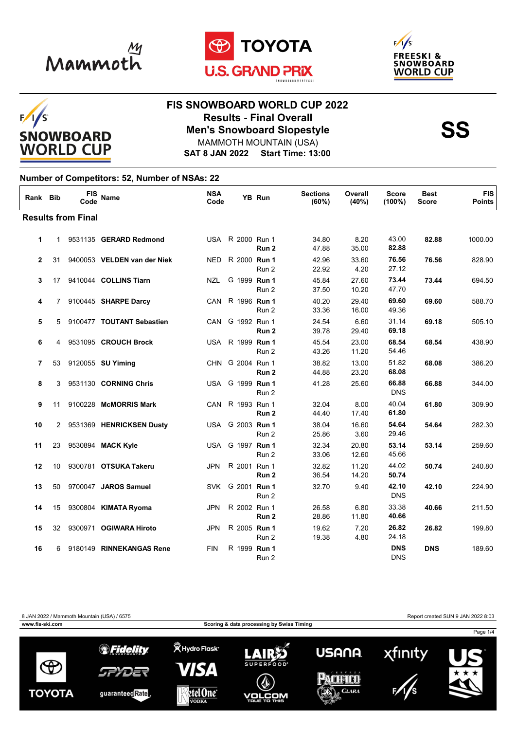







#### **FIS SNOWBOARD WORLD CUP 2022 Results - Final Overall<br>
Men's Snowboard Slopestyle<br>
MAMMOTH MOUNTAIN (USA)** MAMMOTH MOUNTAIN (USA)

**SAT 8 JAN 2022 Start Time: 13:00**

#### **Number of Competitors: 52, Number of NSAs: 22**

| Rank Bib     |                 | <b>FIS</b><br>Code        | <b>Name</b>                 | <b>NSA</b><br>Code |                  | <b>YB Run</b>    | <b>Sections</b><br>(60%) | Overall<br>(40%) | <b>Score</b><br>(100%)   | <b>Best</b><br><b>Score</b> | <b>FIS</b><br><b>Points</b> |
|--------------|-----------------|---------------------------|-----------------------------|--------------------|------------------|------------------|--------------------------|------------------|--------------------------|-----------------------------|-----------------------------|
|              |                 | <b>Results from Final</b> |                             |                    |                  |                  |                          |                  |                          |                             |                             |
| 1            | $\mathbf{1}$    |                           | 9531135 GERARD Redmond      |                    | USA R 2000 Run 1 | Run 2            | 34.80<br>47.88           | 8.20<br>35.00    | 43.00<br>82.88           | 82.88                       | 1000.00                     |
| $\mathbf{2}$ | 31              |                           | 9400053 VELDEN van der Niek | NED.               | R 2000 Run 1     | Run 2            | 42.96<br>22.92           | 33.60<br>4.20    | 76.56<br>27.12           | 76.56                       | 828.90                      |
| 3            | 17 <sup>2</sup> |                           | 9410044 COLLINS Tiarn       | NZL                | G 1999 Run 1     | Run 2            | 45.84<br>37.50           | 27.60<br>10.20   | 73.44<br>47.70           | 73.44                       | 694.50                      |
| 4            | 7               |                           | 9100445 SHARPE Darcy        | CAN.               | R 1996 Run 1     | Run 2            | 40.20<br>33.36           | 29.40<br>16.00   | 69.60<br>49.36           | 69.60                       | 588.70                      |
| 5            | 5               |                           | 9100477 TOUTANT Sebastien   | CAN.               | G 1992 Run 1     | Run 2            | 24.54<br>39.78           | 6.60<br>29.40    | 31.14<br>69.18           | 69.18                       | 505.10                      |
| 6            | 4               |                           | 9531095 CROUCH Brock        |                    | USA R 1999 Run 1 | Run 2            | 45.54<br>43.26           | 23.00<br>11.20   | 68.54<br>54.46           | 68.54                       | 438.90                      |
| 7            | 53              |                           | 9120055 SU Yiming           |                    | CHN G 2004 Run 1 | Run <sub>2</sub> | 38.82<br>44.88           | 13.00<br>23.20   | 51.82<br>68.08           | 68.08                       | 386.20                      |
| 8            | 3               |                           | 9531130 CORNING Chris       | USA                | G 1999 Run 1     | Run 2            | 41.28                    | 25.60            | 66.88<br><b>DNS</b>      | 66.88                       | 344.00                      |
| 9            | 11              |                           | 9100228 McMORRIS Mark       |                    | CAN R 1993 Run 1 | Run <sub>2</sub> | 32.04<br>44.40           | 8.00<br>17.40    | 40.04<br>61.80           | 61.80                       | 309.90                      |
| 10           | $\mathbf{2}$    |                           | 9531369 HENRICKSEN Dusty    |                    | USA G 2003 Run 1 | Run 2            | 38.04<br>25.86           | 16.60<br>3.60    | 54.64<br>29.46           | 54.64                       | 282.30                      |
| 11           | 23              |                           | 9530894 MACK Kyle           | USA                | G 1997 Run 1     | Run <sub>2</sub> | 32.34<br>33.06           | 20.80<br>12.60   | 53.14<br>45.66           | 53.14                       | 259.60                      |
| 12           | 10              |                           | 9300781 OTSUKA Takeru       | JPN                | R 2001 Run 1     | Run 2            | 32.82<br>36.54           | 11.20<br>14.20   | 44.02<br>50.74           | 50.74                       | 240.80                      |
| 13           | 50              |                           | 9700047 JAROS Samuel        | SVK                | G 2001 Run 1     | Run 2            | 32.70                    | 9.40             | 42.10<br><b>DNS</b>      | 42.10                       | 224.90                      |
| 14           | 15              |                           | 9300804 KIMATA Ryoma        | <b>JPN</b>         | R 2002 Run 1     | Run 2            | 26.58<br>28.86           | 6.80<br>11.80    | 33.38<br>40.66           | 40.66                       | 211.50                      |
| 15           | 32              |                           | 9300971 OGIWARA Hiroto      | <b>JPN</b>         | R 2005 Run 1     | Run 2            | 19.62<br>19.38           | 7.20<br>4.80     | 26.82<br>24.18           | 26.82                       | 199.80                      |
| 16           | 6               |                           | 9180149 RINNEKANGAS Rene    | <b>FIN</b>         | R 1999 Run 1     | Run 2            |                          |                  | <b>DNS</b><br><b>DNS</b> | <b>DNS</b>                  | 189.60                      |

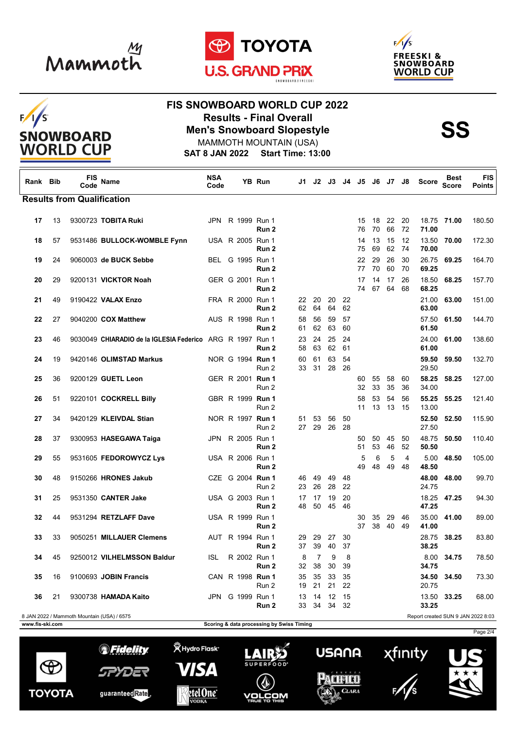

 $F/1/S$ 

**SNOWBOARD WORLD CUP** 





## **FIS SNOWBOARD WORLD CUP 2022 Results - Final Overall<br>
Men's Snowboard Slopestyle<br>
MAMMOTH MOUNTAIN (USA)**

**SAT 8 JAN 2022 Start Time: 13:00** MAMMOTH MOUNTAIN (USA)

| Rank Bib        |    | <b>FIS</b><br>Code | Name                                                      | <b>NSA</b><br>Code |  | YB Run                               |                                           |                      |            | J1 J2 J3 J4 J5 J6 |          |          | J7       | J8.       | <b>Score</b>   | Best<br><b>Score</b>               | <b>FIS</b><br><b>Points</b> |
|-----------------|----|--------------------|-----------------------------------------------------------|--------------------|--|--------------------------------------|-------------------------------------------|----------------------|------------|-------------------|----------|----------|----------|-----------|----------------|------------------------------------|-----------------------------|
|                 |    |                    | <b>Results from Qualification</b>                         |                    |  |                                      |                                           |                      |            |                   |          |          |          |           |                |                                    |                             |
| 17              | 13 |                    | 9300723 TOBITA Ruki                                       |                    |  | JPN R 1999 Run 1<br>Run 2            |                                           |                      |            |                   | 15<br>76 | 18<br>70 | 22<br>66 | 20<br>72  | 71.00          | 18.75 71.00                        | 180.50                      |
| 18              | 57 |                    | 9531486 BULLOCK-WOMBLE Fynn                               |                    |  | USA R 2005 Run 1<br>Run 2            |                                           |                      |            |                   | 14<br>75 | 13<br>69 | 15<br>62 | -12<br>74 | 70.00          | 13.50 70.00                        | 172.30                      |
| 19              | 24 |                    | 9060003 de BUCK Sebbe                                     |                    |  | BEL G 1995 Run 1<br>Run 2            |                                           |                      |            |                   | 22<br>77 | 29<br>70 | 26<br>60 | 30<br>70  | 26.75<br>69.25 | 69.25                              | 164.70                      |
| 20              | 29 |                    | 9200131 VICKTOR Noah                                      |                    |  | GER G 2001 Run 1<br>Run 2            |                                           |                      |            |                   | 17<br>74 | 14<br>67 | 17<br>64 | 26<br>68  | 18.50<br>68.25 | 68.25                              | 157.70                      |
| 21              | 49 |                    | 9190422 VALAX Enzo                                        |                    |  | FRA R 2000 Run 1<br>Run 2            | 22<br>62                                  | 20<br>64             | 20<br>64   | 22<br>62          |          |          |          |           | 21.00<br>63.00 | 63.00                              | 151.00                      |
| 22              | 27 |                    | 9040200 COX Matthew                                       |                    |  | AUS R 1998 Run 1<br>Run 2            | 58<br>61                                  | 56<br>62             | 59<br>63   | 57<br>60          |          |          |          |           | 57.50<br>61.50 | 61.50                              | 144.70                      |
| 23              | 46 |                    | 9030049 CHIARADIO de la IGLESIA Federico ARG R 1997 Run 1 |                    |  | Run 2                                | 23<br>58                                  | 24<br>63             | 25<br>62   | 24<br>61          |          |          |          |           | 24.00<br>61.00 | 61.00                              | 138.60                      |
| 24              | 19 |                    | 9420146 OLIMSTAD Markus                                   |                    |  | NOR G 1994 Run 1<br>Run 2            | 60<br>33                                  | 61<br>31             | 63<br>28   | 54<br>26          |          |          |          |           | 59.50<br>29.50 | 59.50                              | 132.70                      |
| 25              | 36 |                    | 9200129 GUETL Leon                                        |                    |  | GER R 2001 Run 1<br>Run 2            |                                           |                      |            |                   | 60<br>32 | 55<br>33 | 58<br>35 | 60<br>36  | 58.25<br>34.00 | 58.25                              | 127.00                      |
| 26              | 51 |                    | 9220101 COCKRELL Billy                                    |                    |  | GBR R 1999 Run 1<br>Run 2            |                                           |                      |            |                   | 58<br>11 | 53<br>13 | 54<br>13 | 56<br>15  | 55.25<br>13.00 | 55.25                              | 121.40                      |
| 27              | 34 |                    | 9420129 KLEIVDAL Stian                                    |                    |  | NOR R 1997 Run 1<br>Run 2            | 51<br>27                                  | 53<br>29             | 56<br>26   | 50<br>28          |          |          |          |           | 52.50<br>27.50 | 52.50                              | 115.90                      |
| 28              | 37 |                    | 9300953 HASEGAWA Taiga                                    |                    |  | JPN R 2005 Run 1<br>Run 2            |                                           |                      |            |                   | 50<br>51 | 50<br>53 | 45<br>46 | 50<br>52  | 48.75<br>50.50 | 50.50                              | 110.40                      |
| 29              | 55 |                    | 9531605 FEDOROWYCZ Lys                                    |                    |  | USA R 2006 Run 1<br>Run <sub>2</sub> |                                           |                      |            |                   | 5<br>49  | 6<br>48  | 5<br>49  | 4<br>48   | 5.00<br>48.50  | 48.50                              | 105.00                      |
| 30              | 48 |                    | 9150266 HRONES Jakub                                      |                    |  | CZE G 2004 Run 1<br>Run 2            | 46<br>23                                  | 49<br>26             | 49<br>28   | 48<br>22          |          |          |          |           | 48.00<br>24.75 | 48.00                              | 99.70                       |
| 31              | 25 |                    | 9531350 CANTER Jake                                       |                    |  | USA G 2003 Run 1<br>Run 2            | 17<br>48                                  | 17<br>50             | 19<br>- 45 | 20<br>46          |          |          |          |           | 47.25          | 18.25 47.25                        | 94.30                       |
| 32              | 44 |                    | 9531294 RETZLAFF Dave                                     |                    |  | USA R 1999 Run 1<br>Run 2            |                                           |                      |            |                   | 30<br>37 | 35<br>38 | 29<br>40 | 46<br>49  | 35.00<br>41.00 | 41.00                              | 89.00                       |
| 33              | 33 |                    | 9050251 MILLAUER Clemens                                  |                    |  | AUT R 1994 Run 1<br>Run 2            | 29<br>37                                  | 29<br>39             | 27<br>40   | 30<br>37          |          |          |          |           | 28.75<br>38.25 | 38.25                              | 83.80                       |
| 34              | 45 |                    | 9250012 VILHELMSSON Baldur                                | ISL.               |  | R 2002 Run 1<br>Run 2                | 8<br>32                                   | $\overline{7}$<br>38 | 9<br>30    | 8<br>39           |          |          |          |           | 34.75          | 8.00 34.75                         | 78.50                       |
| 35              | 16 |                    | 9100693 JOBIN Francis                                     |                    |  | CAN R 1998 Run 1<br>Run 2            | 35<br>19                                  | 35<br>21             | 33<br>21   | 35<br>22          |          |          |          |           | 34.50<br>20.75 | 34.50                              | 73.30                       |
| 36              | 21 |                    | 9300738 HAMADA Kaito                                      | JPN.               |  | G 1999 Run 1<br>Run 2                | 13<br>33                                  | 14<br>34             | 12<br>34   | 15<br>32          |          |          |          |           | 13.50<br>33.25 | 33.25                              | 68.00                       |
|                 |    |                    | 8 JAN 2022 / Mammoth Mountain (USA) / 6575                |                    |  |                                      |                                           |                      |            |                   |          |          |          |           |                | Report created SUN 9 JAN 2022 8:03 |                             |
| www.fis-ski.com |    |                    |                                                           |                    |  |                                      | Scoring & data processing by Swiss Timing |                      |            |                   |          |          |          |           |                |                                    |                             |









Page 2/4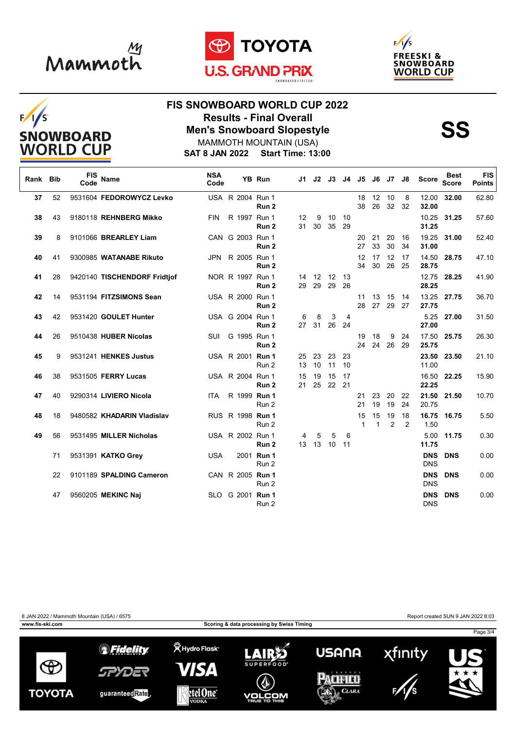

 $F/1/S$ 

**SNOWBOARD WORLD CUP** 





## **FIS SNOWBOARD WORLD CUP 2022 Results - Final Overall<br>
Men's Snowboard Slopestyle<br>
MAMMOTH MOUNTAIN (USA)**

**SAT 8 JAN 2022 Start Time: 13:00** MAMMOTH MOUNTAIN (USA)

| Rank | <b>Bib</b> | <b>FIS</b><br>Code | <b>Name</b>                  | <b>NSA</b><br>Code |                  | YB Run              | J1 I     | J2             |                |          | J3 J4 J5           | J6                 |          | J7 J8    | <b>Score</b>             | <b>Best</b><br><b>Score</b> | <b>FIS</b><br><b>Points</b> |
|------|------------|--------------------|------------------------------|--------------------|------------------|---------------------|----------|----------------|----------------|----------|--------------------|--------------------|----------|----------|--------------------------|-----------------------------|-----------------------------|
| 37   | 52         |                    | 9531604 FEDOROWYCZ Levko     |                    | USA R 2004 Run 1 | Run <sub>2</sub>    |          |                |                |          | 18<br>38           | 12 10<br>26        | 32       | 8<br>32  | 12.00<br>32.00           | 32.00                       | 62.80                       |
| 38   | 43         |                    | 9180118 REHNBERG Mikko       | <b>FIN</b>         | R 1997 Run 1     | Run <sub>2</sub>    | 12<br>31 | 9<br>30        | 10<br>35       | 10<br>29 |                    |                    |          |          | 10.25<br>31.25           | 31.25                       | 57.60                       |
| 39   | 8          |                    | 9101066 BREARLEY Liam        |                    | CAN G 2003 Run 1 | Run 2               |          |                |                |          | 20<br>27           | 21<br>33           | 20<br>30 | 16<br>34 | 19.25<br>31.00           | 31.00                       | 52.40                       |
| 40   | 41         |                    | 9300985 WATANABE Rikuto      |                    | JPN R 2005 Run 1 | Run <sub>2</sub>    |          |                |                |          | 12<br>34           | 17<br>30           | 12<br>26 | 17<br>25 | 14.50<br>28.75           | 28.75                       | 47.10                       |
| 41   | 28         |                    | 9420140 TISCHENDORF Fridtjof |                    | NOR R 1997 Run 1 | Run <sub>2</sub>    | 29       | 14 12 12<br>29 | 29             | 13<br>26 |                    |                    |          |          | 12.75<br>28.25           | 28.25                       | 41.90                       |
| 42   | 14         |                    | 9531194 FITZSIMONS Sean      |                    | USA R 2000 Run 1 | Run <sub>2</sub>    |          |                |                |          | 11<br>28           | 13<br>27           | 15<br>29 | 14<br>27 | 13.25<br>27.75           | 27.75                       | 36.70                       |
| 43   | 42         |                    | 9531420 GOULET Hunter        |                    | USA G 2004 Run 1 | Run <sub>2</sub>    | 6<br>27  | 8<br>31        | 3<br>26        | 4<br>24  |                    |                    |          |          | 5.25<br>27.00            | 27.00                       | 31.50                       |
| 44   | 26         |                    | 9510438 HUBER Nicolas        | SUI                | G 1995 Run 1     | Run 2               |          |                |                |          | 19<br>24           | 18<br>24           | 9<br>26  | 24<br>29 | 17.50<br>25.75           | 25.75                       | 26.30                       |
| 45   | 9          |                    | 9531241 HENKES Justus        |                    | USA R 2001 Run 1 | Run 2               | 25<br>13 | 23<br>10       | 23<br>11       | 23<br>10 |                    |                    |          |          | 23.50<br>11.00           | 23.50                       | 21.10                       |
| 46   | 38         |                    | 9531505 FERRY Lucas          |                    | USA R 2004 Run 1 | Run <sub>2</sub>    | 15<br>21 | 19             | 15<br>25 22 21 | 17       |                    |                    |          |          | 22.25                    | 16.50 22.25                 | 15.90                       |
| 47   | 40         |                    | 9290314 LIVIERO Nicola       | ITA.               | R 1999 Run 1     | Run 2               |          |                |                |          | 21<br>21           | 23<br>19           | 20<br>19 | 22<br>24 | 21.50<br>20.75           | 21.50                       | 10.70                       |
| 48   | 18         |                    | 9480582 KHADARIN Vladislav   |                    | RUS R 1998 Run 1 | Run 2               |          |                |                |          | 15<br>$\mathbf{1}$ | 15<br>$\mathbf{1}$ | 19<br>2  | 18<br>2  | 16.75<br>1.50            | 16.75                       | 5.50                        |
| 49   | 56         |                    | 9531495 MILLER Nicholas      |                    | USA R 2002 Run 1 | Run <sub>2</sub>    | 4<br>13  | 5              | 5<br>13 10     | 6<br>11  |                    |                    |          |          | 5.00<br>11.75            | 11.75                       | 0.30                        |
|      | 71         |                    | 9531391 KATKO Grev           | <b>USA</b>         |                  | 2001 Run 1<br>Run 2 |          |                |                |          |                    |                    |          |          | <b>DNS</b><br><b>DNS</b> | <b>DNS</b>                  | 0.00                        |
|      | 22         |                    | 9101189 SPALDING Cameron     |                    | CAN R 2005 Run 1 | Run 2               |          |                |                |          |                    |                    |          |          | <b>DNS</b><br><b>DNS</b> | <b>DNS</b>                  | 0.00                        |
|      | 47         |                    | 9560205 MEKINC Naj           |                    | SLO G 2001 Run 1 | Run 2               |          |                |                |          |                    |                    |          |          | <b>DNS</b><br><b>DNS</b> | <b>DNS</b>                  | 0.00                        |